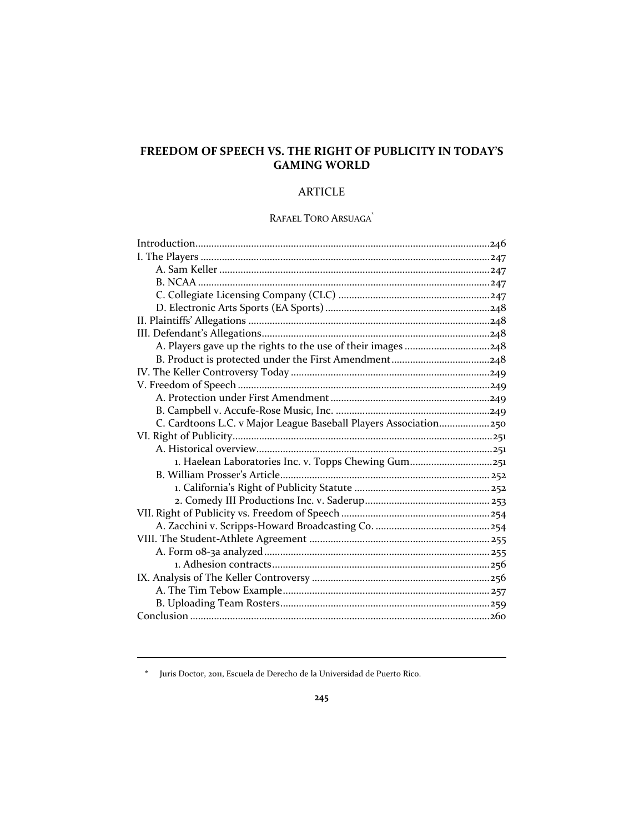# **FREEDOM OF SPEECH VS. THE RIGHT OF PUBLICITY IN TODAY'S GAMING WORLD**

# ARTICLE

# RAFAEL TORO ARSUAGA\*

| A. Players gave up the rights to the use of their images 248     |  |
|------------------------------------------------------------------|--|
|                                                                  |  |
|                                                                  |  |
|                                                                  |  |
|                                                                  |  |
|                                                                  |  |
| C. Cardtoons L.C. v Major League Baseball Players Association250 |  |
|                                                                  |  |
|                                                                  |  |
|                                                                  |  |
| 1. Haelean Laboratories Inc. v. Topps Chewing Gum251             |  |
|                                                                  |  |
|                                                                  |  |
|                                                                  |  |
|                                                                  |  |
|                                                                  |  |
|                                                                  |  |
|                                                                  |  |
|                                                                  |  |
|                                                                  |  |
|                                                                  |  |
|                                                                  |  |
|                                                                  |  |

**\*** Juris Doctor, 2011, Escuela de Derecho de la Universidad de Puerto Rico.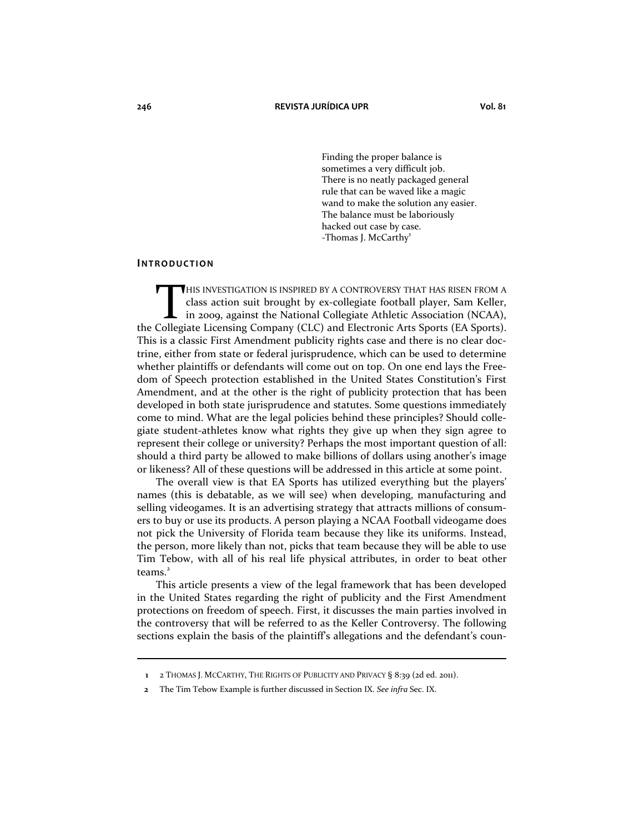Finding the proper balance is sometimes a very difficult job. There is no neatly packaged general rule that can be waved like a magic wand to make the solution any easier. The balance must be laboriously hacked out case by case.  $-$ Thomas J. McCarthy $^1$ 

#### **INTRODUCTION**

HIS INVESTIGATION IS INSPIRED BY A CONTROVERSY THAT HAS RISEN FROM A class action suit brought by ex-collegiate football player, Sam Keller, in 2009, against the National Collegiate Athletic Association (NCAA), THIS INVESTIGATION IS INSPIRED BY A CONTROVERSY THAT HAS RISEN FROM A class action suit brought by ex-collegiate football player, Sam Keller, in 2009, against the National Collegiate Athletic Association (NCAA), the Colleg This is a classic First Amendment publicity rights case and there is no clear doctrine, either from state or federal jurisprudence, which can be used to determine whether plaintiffs or defendants will come out on top. On one end lays the Freedom of Speech protection established in the United States Constitution's First Amendment, and at the other is the right of publicity protection that has been developed in both state jurisprudence and statutes. Some questions immediately come to mind. What are the legal policies behind these principles? Should collegiate student-athletes know what rights they give up when they sign agree to represent their college or university? Perhaps the most important question of all: should a third party be allowed to make billions of dollars using another's image or likeness? All of these questions will be addressed in this article at some point.

The overall view is that EA Sports has utilized everything but the players' names (this is debatable, as we will see) when developing, manufacturing and selling videogames. It is an advertising strategy that attracts millions of consumers to buy or use its products. A person playing a NCAA Football videogame does not pick the University of Florida team because they like its uniforms. Instead, the person, more likely than not, picks that team because they will be able to use Tim Tebow, with all of his real life physical attributes, in order to beat other teams. $<sup>2</sup>$ </sup>

This article presents a view of the legal framework that has been developed in the United States regarding the right of publicity and the First Amendment protections on freedom of speech. First, it discusses the main parties involved in the controversy that will be referred to as the Keller Controversy. The following sections explain the basis of the plaintiff's allegations and the defendant's coun-

**<sup>1</sup>** 2 THOMAS J. MCCARTHY, THE RIGHTS OF PUBLICITY AND PRIVACY § 8:39 (2d ed. 2011).

**<sup>2</sup>** The Tim Tebow Example is further discussed in Section IX. *See infra* Sec. IX.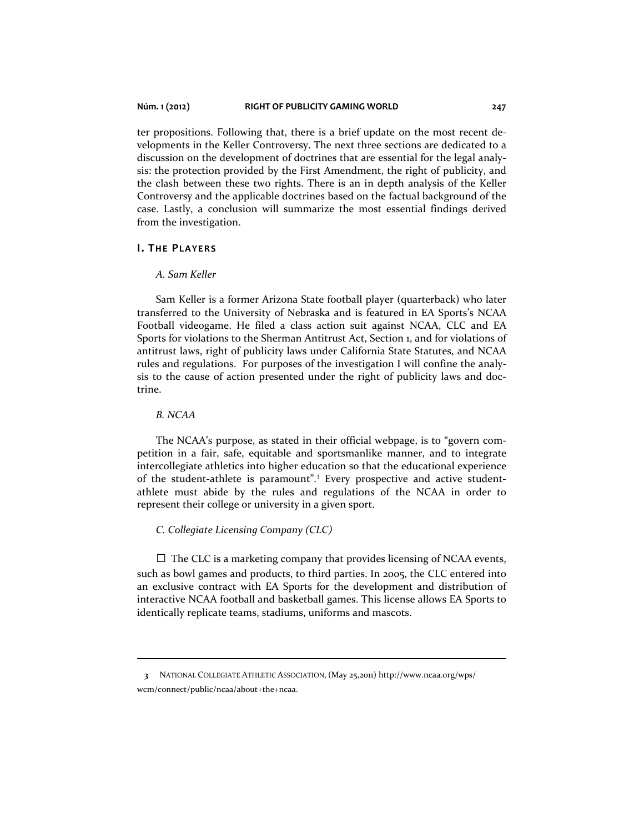ter propositions. Following that, there is a brief update on the most recent developments in the Keller Controversy. The next three sections are dedicated to a discussion on the development of doctrines that are essential for the legal analysis: the protection provided by the First Amendment, the right of publicity, and the clash between these two rights. There is an in depth analysis of the Keller Controversy and the applicable doctrines based on the factual background of the case. Lastly, a conclusion will summarize the most essential findings derived from the investigation.

# **I. THE PLAYERS**

### *A. Sam Keller*

Sam Keller is a former Arizona State football player (quarterback) who later transferred to the University of Nebraska and is featured in EA Sports's NCAA Football videogame. He filed a class action suit against NCAA, CLC and EA Sports for violations to the Sherman Antitrust Act, Section 1, and for violations of antitrust laws, right of publicity laws under California State Statutes, and NCAA rules and regulations. For purposes of the investigation I will confine the analysis to the cause of action presented under the right of publicity laws and doctrine.

# *B. NCAA*

The NCAA's purpose, as stated in their official webpage, is to "govern competition in a fair, safe, equitable and sportsmanlike manner, and to integrate intercollegiate athletics into higher education so that the educational experience of the student-athlete is paramount".<sup>3</sup> Every prospective and active studentathlete must abide by the rules and regulations of the NCAA in order to represent their college or university in a given sport.

#### *C. Collegiate Licensing Company (CLC)*

 $\Box$  The CLC is a marketing company that provides licensing of NCAA events, such as bowl games and products, to third parties. In 2005, the CLC entered into an exclusive contract with EA Sports for the development and distribution of interactive NCAA football and basketball games. This license allows EA Sports to identically replicate teams, stadiums, uniforms and mascots.

 **<sup>3</sup>** NATIONAL COLLEGIATE ATHLETIC ASSOCIATION, (May 25,2011) http://www.ncaa.org/wps/ wcm/connect/public/ncaa/about+the+ncaa.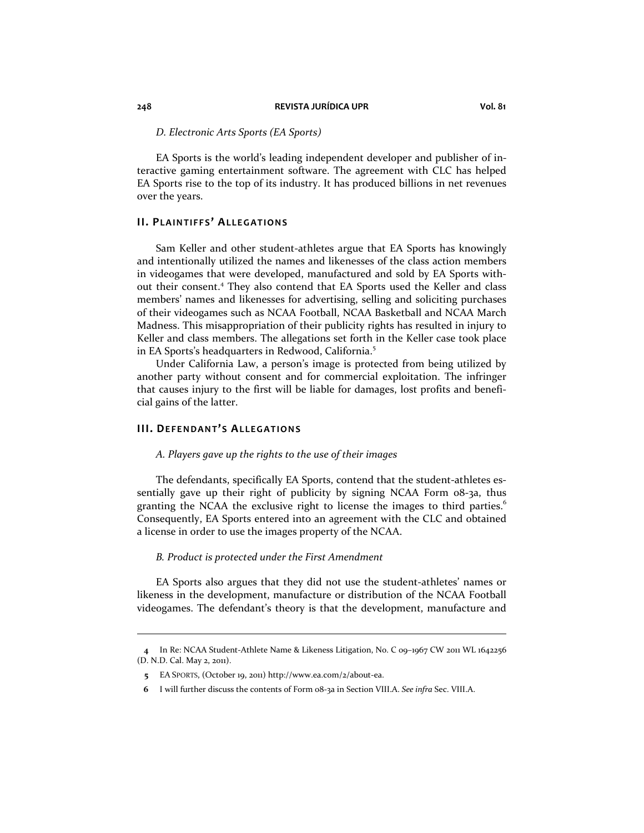*D. Electronic Arts Sports (EA Sports)* 

EA Sports is the world's leading independent developer and publisher of interactive gaming entertainment software. The agreement with CLC has helped EA Sports rise to the top of its industry. It has produced billions in net revenues over the years.

### **II. PLAINTIFFS' ALLEGATIONS**

Sam Keller and other student-athletes argue that EA Sports has knowingly and intentionally utilized the names and likenesses of the class action members in videogames that were developed, manufactured and sold by EA Sports without their consent.<sup>4</sup> They also contend that EA Sports used the Keller and class members' names and likenesses for advertising, selling and soliciting purchases of their videogames such as NCAA Football, NCAA Basketball and NCAA March Madness. This misappropriation of their publicity rights has resulted in injury to Keller and class members. The allegations set forth in the Keller case took place in EA Sports's headquarters in Redwood, California.<sup>5</sup>

Under California Law, a person's image is protected from being utilized by another party without consent and for commercial exploitation. The infringer that causes injury to the first will be liable for damages, lost profits and beneficial gains of the latter.

# **III. DEFENDANT'S ALLEGATIONS**

#### *A. Players gave up the rights to the use of their images*

The defendants, specifically EA Sports, contend that the student-athletes essentially gave up their right of publicity by signing NCAA Form 08-3a, thus granting the NCAA the exclusive right to license the images to third parties.<sup>6</sup> Consequently, EA Sports entered into an agreement with the CLC and obtained a license in order to use the images property of the NCAA.

#### *B. Product is protected under the First Amendment*

EA Sports also argues that they did not use the student-athletes' names or likeness in the development, manufacture or distribution of the NCAA Football videogames. The defendant's theory is that the development, manufacture and

**<sup>4</sup>** In Re: NCAA Student-Athlete Name & Likeness Litigation, No. C 09–1967 CW 2011 WL 1642256 (D. N.D. Cal. May 2, 2011).

**<sup>5</sup>** EA SPORTS, (October 19, 2011) http://www.ea.com/2/about-ea.

**<sup>6</sup>** I will further discuss the contents of Form 08-3a in Section VIII.A. *See infra* Sec. VIII.A.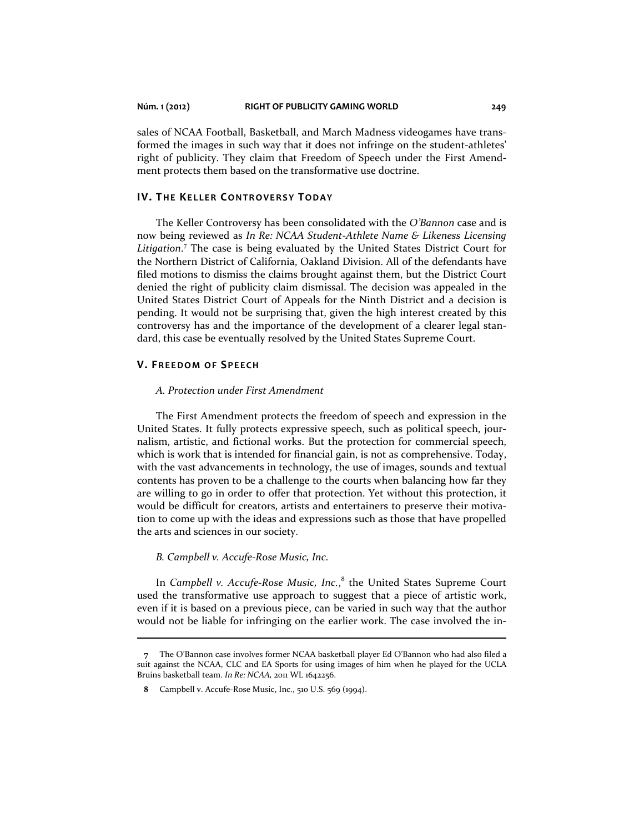sales of NCAA Football, Basketball, and March Madness videogames have transformed the images in such way that it does not infringe on the student-athletes' right of publicity. They claim that Freedom of Speech under the First Amendment protects them based on the transformative use doctrine.

# **IV. THE KELLER CONTROVERSY TODAY**

The Keller Controversy has been consolidated with the *O'Bannon* case and is now being reviewed as *In Re: NCAA Student-Athlete Name & Likeness Licensing Litigation*. 7 The case is being evaluated by the United States District Court for the Northern District of California, Oakland Division. All of the defendants have filed motions to dismiss the claims brought against them, but the District Court denied the right of publicity claim dismissal. The decision was appealed in the United States District Court of Appeals for the Ninth District and a decision is pending. It would not be surprising that, given the high interest created by this controversy has and the importance of the development of a clearer legal standard, this case be eventually resolved by the United States Supreme Court.

# **V. FREEDOM OF SPEECH**

 $\overline{a}$ 

#### *A. Protection under First Amendment*

The First Amendment protects the freedom of speech and expression in the United States. It fully protects expressive speech, such as political speech, journalism, artistic, and fictional works. But the protection for commercial speech, which is work that is intended for financial gain, is not as comprehensive. Today, with the vast advancements in technology, the use of images, sounds and textual contents has proven to be a challenge to the courts when balancing how far they are willing to go in order to offer that protection. Yet without this protection, it would be difficult for creators, artists and entertainers to preserve their motivation to come up with the ideas and expressions such as those that have propelled the arts and sciences in our society.

#### *B. Campbell v. Accufe-Rose Music, Inc.*

In *Campbell v. Accufe-Rose Music, Inc.*, 8 the United States Supreme Court used the transformative use approach to suggest that a piece of artistic work, even if it is based on a previous piece, can be varied in such way that the author would not be liable for infringing on the earlier work. The case involved the in-

**<sup>7</sup>** The O'Bannon case involves former NCAA basketball player Ed O'Bannon who had also filed a suit against the NCAA, CLC and EA Sports for using images of him when he played for the UCLA Bruins basketball team. *In Re: NCAA,* 2011 WL 1642256.

**<sup>8</sup>** Campbell v. Accufe-Rose Music, Inc., 510 U.S. 569 (1994).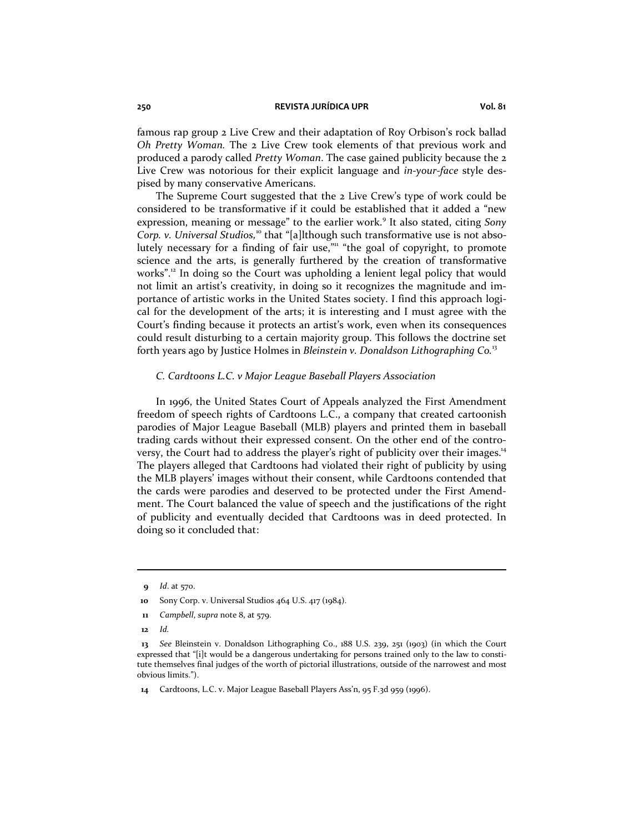#### **250 REVISTA JURÍDICA UPR Vol. 81**

famous rap group 2 Live Crew and their adaptation of Roy Orbison's rock ballad *Oh Pretty Woman.* The 2 Live Crew took elements of that previous work and produced a parody called *Pretty Woman*. The case gained publicity because the 2 Live Crew was notorious for their explicit language and *in-your-face* style despised by many conservative Americans.

The Supreme Court suggested that the 2 Live Crew's type of work could be considered to be transformative if it could be established that it added a "new expression, meaning or message" to the earlier work.<sup>9</sup> It also stated, citing Sony *Corp. v. Universal Studios*,<sup>10</sup> that "[a]lthough such transformative use is not absolutely necessary for a finding of fair use,"<sup>11</sup> "the goal of copyright, to promote science and the arts, is generally furthered by the creation of transformative works".<sup>12</sup> In doing so the Court was upholding a lenient legal policy that would not limit an artist's creativity, in doing so it recognizes the magnitude and importance of artistic works in the United States society. I find this approach logical for the development of the arts; it is interesting and I must agree with the Court's finding because it protects an artist's work, even when its consequences could result disturbing to a certain majority group. This follows the doctrine set forth years ago by Justice Holmes in *Bleinstein v. Donaldson Lithographing Co.*<sup>13</sup>

## *C. Cardtoons L.C. v Major League Baseball Players Association*

In 1996, the United States Court of Appeals analyzed the First Amendment freedom of speech rights of Cardtoons L.C., a company that created cartoonish parodies of Major League Baseball (MLB) players and printed them in baseball trading cards without their expressed consent. On the other end of the controversy, the Court had to address the player's right of publicity over their images.<sup>14</sup> The players alleged that Cardtoons had violated their right of publicity by using the MLB players' images without their consent, while Cardtoons contended that the cards were parodies and deserved to be protected under the First Amendment. The Court balanced the value of speech and the justifications of the right of publicity and eventually decided that Cardtoons was in deed protected. In doing so it concluded that:

**<sup>9</sup>** *Id*. at 570.

 **<sup>10</sup>** Sony Corp. v. Universal Studios 464 U.S. 417 (1984).

**<sup>11</sup>** *Campbell*, *supra* note 8, at 579.

 **<sup>12</sup>** *Id.*

**<sup>13</sup>** *See* Bleinstein v. Donaldson Lithographing Co., 188 U.S. 239, 251 (1903) (in which the Court expressed that "[i]t would be a dangerous undertaking for persons trained only to the law to constitute themselves final judges of the worth of pictorial illustrations, outside of the narrowest and most obvious limits.").

 **<sup>14</sup>** Cardtoons, L.C. v. Major League Baseball Players Ass'n, 95 F.3d 959 (1996).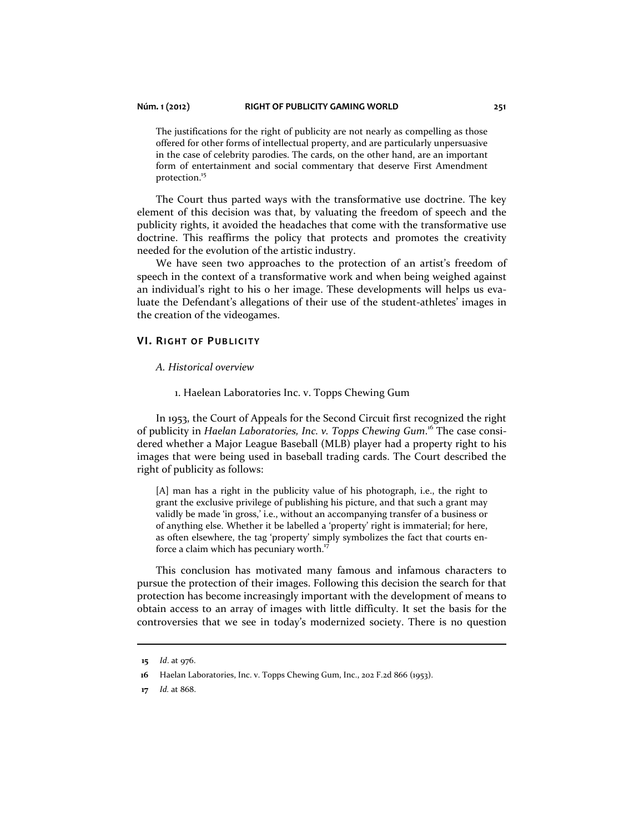The justifications for the right of publicity are not nearly as compelling as those offered for other forms of intellectual property, and are particularly unpersuasive in the case of celebrity parodies. The cards, on the other hand, are an important form of entertainment and social commentary that deserve First Amendment protection.<sup>15</sup>

The Court thus parted ways with the transformative use doctrine. The key element of this decision was that, by valuating the freedom of speech and the publicity rights, it avoided the headaches that come with the transformative use doctrine. This reaffirms the policy that protects and promotes the creativity needed for the evolution of the artistic industry.

We have seen two approaches to the protection of an artist's freedom of speech in the context of a transformative work and when being weighed against an individual's right to his o her image. These developments will helps us evaluate the Defendant's allegations of their use of the student-athletes' images in the creation of the videogames.

### **VI. RIGHT OF PUBLICITY**

#### *A. Historical overview*

1. Haelean Laboratories Inc. v. Topps Chewing Gum

In 1953, the Court of Appeals for the Second Circuit first recognized the right of publicity in *Haelan Laboratories, Inc. v. Topps Chewing Gum*. 16 The case considered whether a Major League Baseball (MLB) player had a property right to his images that were being used in baseball trading cards. The Court described the right of publicity as follows:

[A] man has a right in the publicity value of his photograph, i.e., the right to grant the exclusive privilege of publishing his picture, and that such a grant may validly be made 'in gross,' i.e., without an accompanying transfer of a business or of anything else. Whether it be labelled a 'property' right is immaterial; for here, as often elsewhere, the tag 'property' simply symbolizes the fact that courts enforce a claim which has pecuniary worth.<sup>17</sup>

This conclusion has motivated many famous and infamous characters to pursue the protection of their images. Following this decision the search for that protection has become increasingly important with the development of means to obtain access to an array of images with little difficulty. It set the basis for the controversies that we see in today's modernized society. There is no question

**<sup>15</sup>** *Id*. at 976.

 **<sup>16</sup>** Haelan Laboratories, Inc. v. Topps Chewing Gum, Inc., 202 F.2d 866 (1953).

**<sup>17</sup>** *Id.* at 868.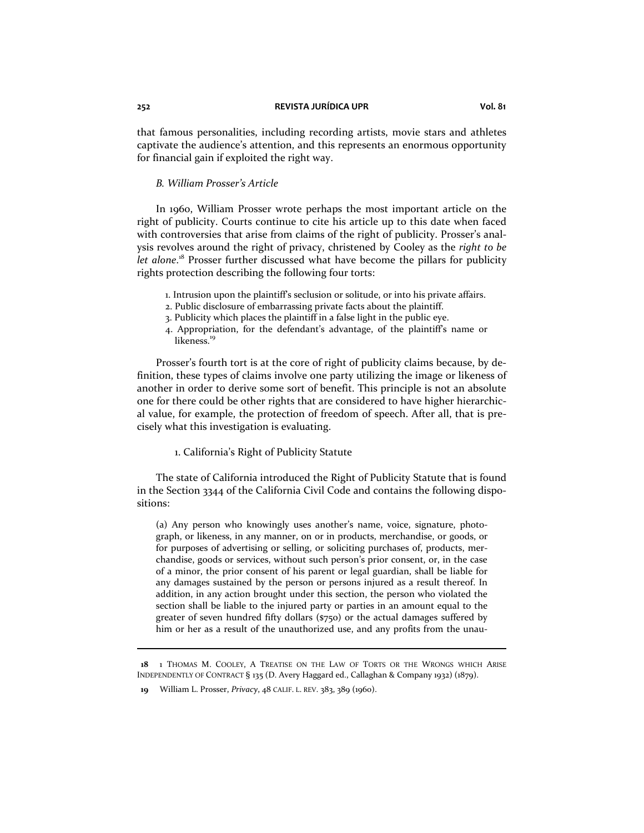#### **252 REVISTA JURÍDICA UPR Vol. 81**

that famous personalities, including recording artists, movie stars and athletes captivate the audience's attention, and this represents an enormous opportunity for financial gain if exploited the right way.

# *B. William Prosser's Article*

In 1960, William Prosser wrote perhaps the most important article on the right of publicity. Courts continue to cite his article up to this date when faced with controversies that arise from claims of the right of publicity. Prosser's analysis revolves around the right of privacy, christened by Cooley as the *right to be*  let alone.<sup>18</sup> Prosser further discussed what have become the pillars for publicity rights protection describing the following four torts:

- 1. Intrusion upon the plaintiff's seclusion or solitude, or into his private affairs.
- 2. Public disclosure of embarrassing private facts about the plaintiff.
- 3. Publicity which places the plaintiff in a false light in the public eye.
- 4. Appropriation, for the defendant's advantage, of the plaintiff's name or likeness.<sup>19</sup>

Prosser's fourth tort is at the core of right of publicity claims because, by definition, these types of claims involve one party utilizing the image or likeness of another in order to derive some sort of benefit. This principle is not an absolute one for there could be other rights that are considered to have higher hierarchical value, for example, the protection of freedom of speech. After all, that is precisely what this investigation is evaluating.

#### 1. California's Right of Publicity Statute

The state of California introduced the Right of Publicity Statute that is found in the Section 3344 of the California Civil Code and contains the following dispositions:

(a) Any person who knowingly uses another's name, voice, signature, photograph, or likeness, in any manner, on or in products, merchandise, or goods, or for purposes of advertising or selling, or soliciting purchases of, products, merchandise, goods or services, without such person's prior consent, or, in the case of a minor, the prior consent of his parent or legal guardian, shall be liable for any damages sustained by the person or persons injured as a result thereof. In addition, in any action brought under this section, the person who violated the section shall be liable to the injured party or parties in an amount equal to the greater of seven hundred fifty dollars (\$750) or the actual damages suffered by him or her as a result of the unauthorized use, and any profits from the unau-

 **<sup>18</sup>** 1 THOMAS M. COOLEY, A TREATISE ON THE LAW OF TORTS OR THE WRONGS WHICH ARISE INDEPENDENTLY OF CONTRACT § 135 (D. Avery Haggard ed., Callaghan & Company 1932) (1879).

 **<sup>19</sup>** William L. Prosser, *Privacy*, 48 CALIF. L. REV. 383, 389 (1960).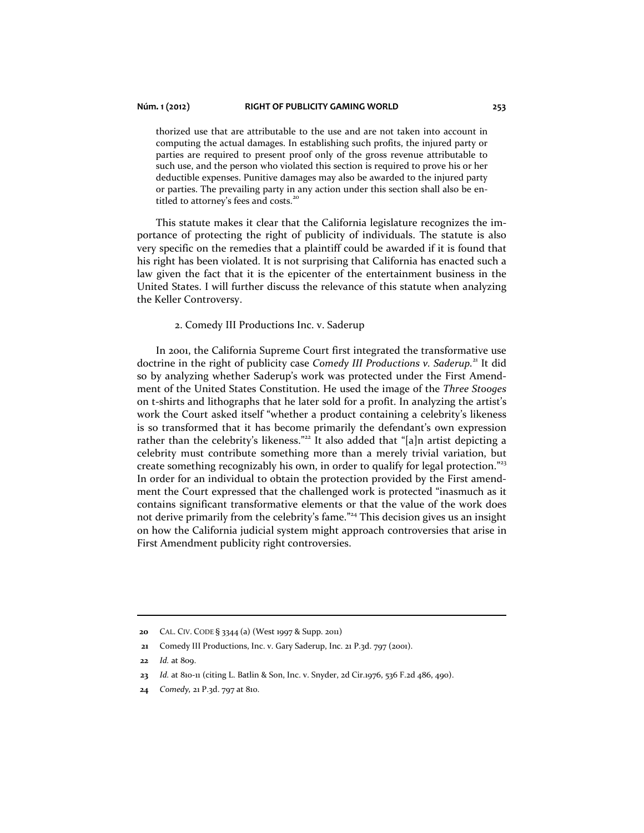thorized use that are attributable to the use and are not taken into account in computing the actual damages. In establishing such profits, the injured party or parties are required to present proof only of the gross revenue attributable to such use, and the person who violated this section is required to prove his or her deductible expenses. Punitive damages may also be awarded to the injured party or parties. The prevailing party in any action under this section shall also be entitled to attorney's fees and costs.<sup>2</sup>

This statute makes it clear that the California legislature recognizes the importance of protecting the right of publicity of individuals. The statute is also very specific on the remedies that a plaintiff could be awarded if it is found that his right has been violated. It is not surprising that California has enacted such a law given the fact that it is the epicenter of the entertainment business in the United States. I will further discuss the relevance of this statute when analyzing the Keller Controversy.

## 2. Comedy III Productions Inc. v. Saderup

In 2001, the California Supreme Court first integrated the transformative use doctrine in the right of publicity case *Comedy III Productions v. Saderup.*21 It did so by analyzing whether Saderup's work was protected under the First Amendment of the United States Constitution. He used the image of the *Three Stooges*  on t-shirts and lithographs that he later sold for a profit. In analyzing the artist's work the Court asked itself "whether a product containing a celebrity's likeness is so transformed that it has become primarily the defendant's own expression rather than the celebrity's likeness."<sup>22</sup> It also added that "[a]n artist depicting a celebrity must contribute something more than a merely trivial variation, but create something recognizably his own, in order to qualify for legal protection."<sup>23</sup> In order for an individual to obtain the protection provided by the First amendment the Court expressed that the challenged work is protected "inasmuch as it contains significant transformative elements or that the value of the work does not derive primarily from the celebrity's fame."<sup>24</sup> This decision gives us an insight on how the California judicial system might approach controversies that arise in First Amendment publicity right controversies.

 $\overline{a}$ 

**24** *Comedy,* 21 P.3d. 797 at 810.

 **<sup>20</sup>** CAL. CIV. CODE § 3344 (a) (West 1997 & Supp. 2011)

 **<sup>21</sup>** Comedy III Productions, Inc. v. Gary Saderup, Inc. 21 P.3d. 797 (2001).

**<sup>22</sup>** *Id.* at 809.

**<sup>23</sup>** *Id.* at 810-11 (citing L. Batlin & Son, Inc. v. Snyder, 2d Cir.1976, 536 F.2d 486, 490).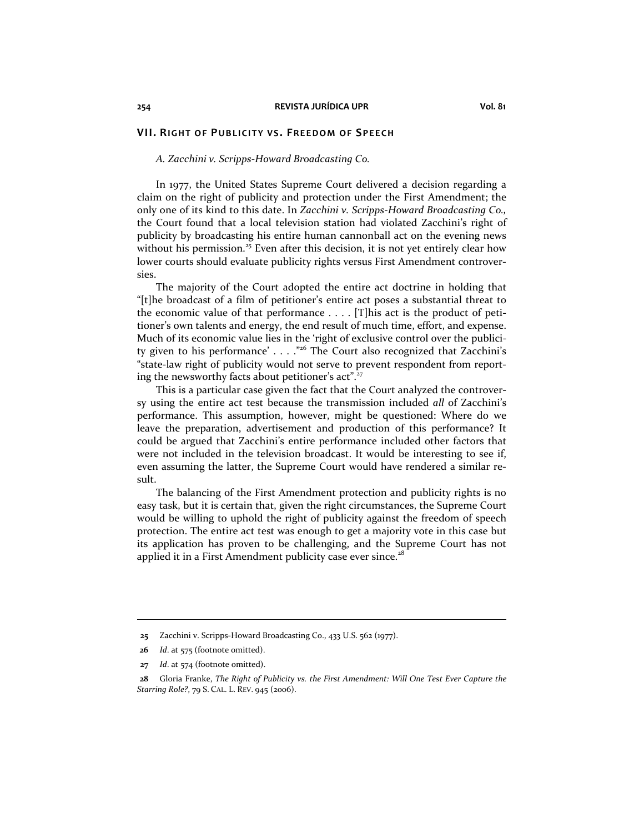#### *A. Zacchini v. Scripps-Howard Broadcasting Co.*

In 1977, the United States Supreme Court delivered a decision regarding a claim on the right of publicity and protection under the First Amendment; the only one of its kind to this date. In *Zacchini v. Scripps-Howard Broadcasting Co.,*  the Court found that a local television station had violated Zacchini's right of publicity by broadcasting his entire human cannonball act on the evening news without his permission.<sup>25</sup> Even after this decision, it is not yet entirely clear how lower courts should evaluate publicity rights versus First Amendment controversies.

The majority of the Court adopted the entire act doctrine in holding that "[t]he broadcast of a film of petitioner's entire act poses a substantial threat to the economic value of that performance . . . . [T]his act is the product of petitioner's own talents and energy, the end result of much time, effort, and expense. Much of its economic value lies in the 'right of exclusive control over the publicity given to his performance'  $\dots$  ."<sup>26</sup> The Court also recognized that Zacchini's "state-law right of publicity would not serve to prevent respondent from reporting the newsworthy facts about petitioner's act".<sup>27</sup>

This is a particular case given the fact that the Court analyzed the controversy using the entire act test because the transmission included *all* of Zacchini's performance. This assumption, however, might be questioned: Where do we leave the preparation, advertisement and production of this performance? It could be argued that Zacchini's entire performance included other factors that were not included in the television broadcast. It would be interesting to see if, even assuming the latter, the Supreme Court would have rendered a similar result.

The balancing of the First Amendment protection and publicity rights is no easy task, but it is certain that, given the right circumstances, the Supreme Court would be willing to uphold the right of publicity against the freedom of speech protection. The entire act test was enough to get a majority vote in this case but its application has proven to be challenging, and the Supreme Court has not applied it in a First Amendment publicity case ever since.<sup>28</sup>

 **<sup>25</sup>** Zacchini v. Scripps-Howard Broadcasting Co., 433 U.S. 562 (1977).

**<sup>26</sup>** *Id*. at 575 (footnote omitted).

**<sup>27</sup>** *Id*. at 574 (footnote omitted).

 **<sup>28</sup>** Gloria Franke, *The Right of Publicity vs. the First Amendment: Will One Test Ever Capture the Starring Role?*, 79 S. CAL. L. REV. 945 (2006).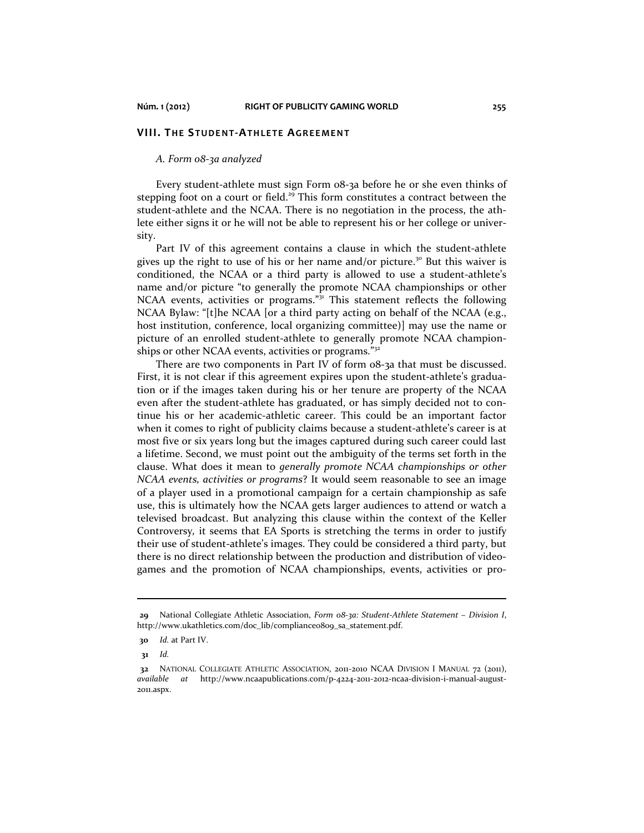#### **VIII. THE STUDENT-ATHLETE AGREEMENT**

#### *A. Form 08-3a analyzed*

Every student-athlete must sign Form 08-3a before he or she even thinks of stepping foot on a court or field.<sup>29</sup> This form constitutes a contract between the student-athlete and the NCAA. There is no negotiation in the process, the athlete either signs it or he will not be able to represent his or her college or university.

Part IV of this agreement contains a clause in which the student-athlete gives up the right to use of his or her name and/or picture.<sup>30</sup> But this waiver is conditioned, the NCAA or a third party is allowed to use a student-athlete's name and/or picture "to generally the promote NCAA championships or other NCAA events, activities or programs."<sup>31</sup> This statement reflects the following NCAA Bylaw: "[t]he NCAA [or a third party acting on behalf of the NCAA (e.g., host institution, conference, local organizing committee)] may use the name or picture of an enrolled student-athlete to generally promote NCAA championships or other NCAA events, activities or programs."<sup>32</sup>

There are two components in Part IV of form 08-3a that must be discussed. First, it is not clear if this agreement expires upon the student-athlete's graduation or if the images taken during his or her tenure are property of the NCAA even after the student-athlete has graduated, or has simply decided not to continue his or her academic-athletic career. This could be an important factor when it comes to right of publicity claims because a student-athlete's career is at most five or six years long but the images captured during such career could last a lifetime. Second, we must point out the ambiguity of the terms set forth in the clause. What does it mean to *generally promote NCAA championships or other NCAA events, activities or programs*? It would seem reasonable to see an image of a player used in a promotional campaign for a certain championship as safe use, this is ultimately how the NCAA gets larger audiences to attend or watch a televised broadcast. But analyzing this clause within the context of the Keller Controversy*,* it seems that EA Sports is stretching the terms in order to justify their use of student-athlete's images. They could be considered a third party, but there is no direct relationship between the production and distribution of videogames and the promotion of NCAA championships, events, activities or pro-

 **<sup>29</sup>** National Collegiate Athletic Association, *Form 08-3a: Student-Athlete Statement – Division I*, http://www.ukathletics.com/doc\_lib/compliance0809\_sa\_statement.pdf.

**<sup>30</sup>** *Id.* at Part IV.

 **<sup>31</sup>** *Id.*

 **<sup>32</sup>** NATIONAL COLLEGIATE ATHLETIC ASSOCIATION, 2011-2010 NCAA DIVISION I MANUAL 72 (2011), *available at* http://www.ncaapublications.com/p-4224-2011-2012-ncaa-division-i-manual-august-2011.aspx.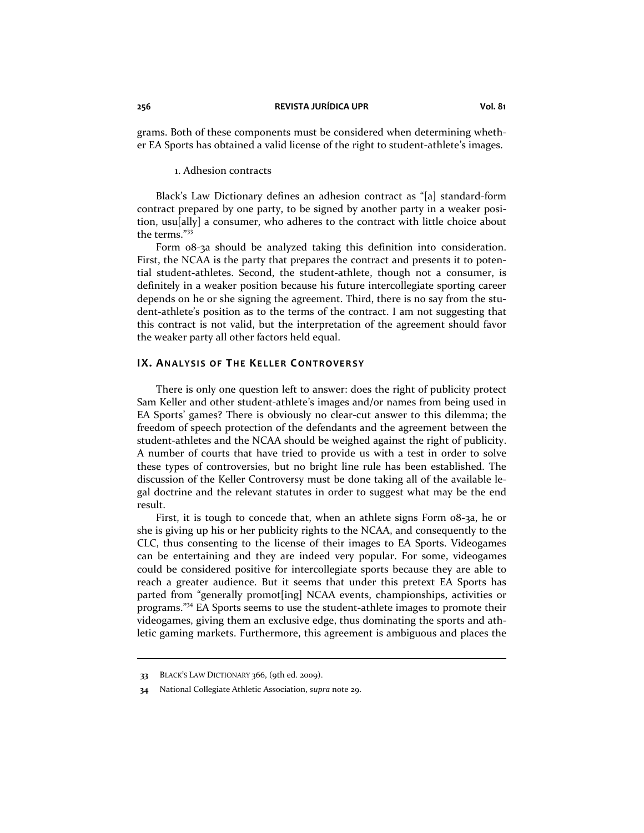grams. Both of these components must be considered when determining whether EA Sports has obtained a valid license of the right to student-athlete's images.

#### 1. Adhesion contracts

Black's Law Dictionary defines an adhesion contract as "[a] standard-form contract prepared by one party, to be signed by another party in a weaker position, usu[ally] a consumer, who adheres to the contract with little choice about the terms."<sup>33</sup>

Form 08-3a should be analyzed taking this definition into consideration. First, the NCAA is the party that prepares the contract and presents it to potential student-athletes. Second, the student-athlete, though not a consumer, is definitely in a weaker position because his future intercollegiate sporting career depends on he or she signing the agreement. Third, there is no say from the student-athlete's position as to the terms of the contract. I am not suggesting that this contract is not valid, but the interpretation of the agreement should favor the weaker party all other factors held equal.

# **IX. ANALYSIS OF THE KELLER CONTROVERSY**

There is only one question left to answer: does the right of publicity protect Sam Keller and other student-athlete's images and/or names from being used in EA Sports' games? There is obviously no clear-cut answer to this dilemma; the freedom of speech protection of the defendants and the agreement between the student-athletes and the NCAA should be weighed against the right of publicity. A number of courts that have tried to provide us with a test in order to solve these types of controversies, but no bright line rule has been established. The discussion of the Keller Controversy must be done taking all of the available legal doctrine and the relevant statutes in order to suggest what may be the end result.

First, it is tough to concede that, when an athlete signs Form 08-3a, he or she is giving up his or her publicity rights to the NCAA, and consequently to the CLC, thus consenting to the license of their images to EA Sports. Videogames can be entertaining and they are indeed very popular. For some, videogames could be considered positive for intercollegiate sports because they are able to reach a greater audience. But it seems that under this pretext EA Sports has parted from "generally promot[ing] NCAA events, championships, activities or programs."<sup>34</sup> EA Sports seems to use the student-athlete images to promote their videogames, giving them an exclusive edge, thus dominating the sports and athletic gaming markets. Furthermore, this agreement is ambiguous and places the

 **<sup>33</sup>** BLACK'S LAW DICTIONARY 366, (9th ed. 2009).

 **<sup>34</sup>** National Collegiate Athletic Association, *supra* note 29.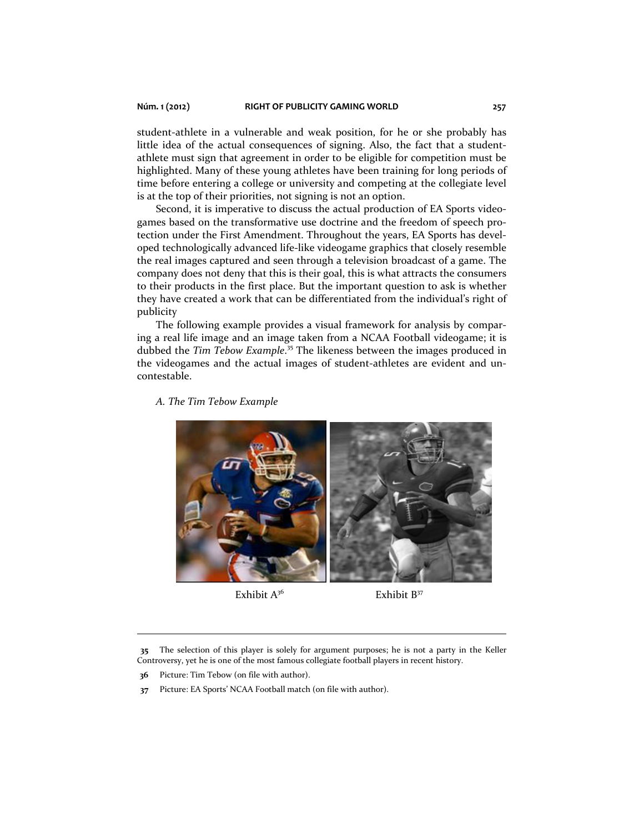student-athlete in a vulnerable and weak position, for he or she probably has little idea of the actual consequences of signing. Also, the fact that a studentathlete must sign that agreement in order to be eligible for competition must be highlighted. Many of these young athletes have been training for long periods of time before entering a college or university and competing at the collegiate level is at the top of their priorities, not signing is not an option.

Second, it is imperative to discuss the actual production of EA Sports videogames based on the transformative use doctrine and the freedom of speech protection under the First Amendment. Throughout the years, EA Sports has developed technologically advanced life-like videogame graphics that closely resemble the real images captured and seen through a television broadcast of a game. The company does not deny that this is their goal, this is what attracts the consumers to their products in the first place. But the important question to ask is whether they have created a work that can be differentiated from the individual's right of publicity

The following example provides a visual framework for analysis by comparing a real life image and an image taken from a NCAA Football videogame; it is dubbed the *Tim Tebow Example*. 35 The likeness between the images produced in the videogames and the actual images of student-athletes are evident and uncontestable.

*A. The Tim Tebow Example* 





**35** The selection of this player is solely for argument purposes; he is not a party in the Keller Controversy, yet he is one of the most famous collegiate football players in recent history.

 **36** Picture: Tim Tebow (on file with author).

 **37** Picture: EA Sports' NCAA Football match (on file with author).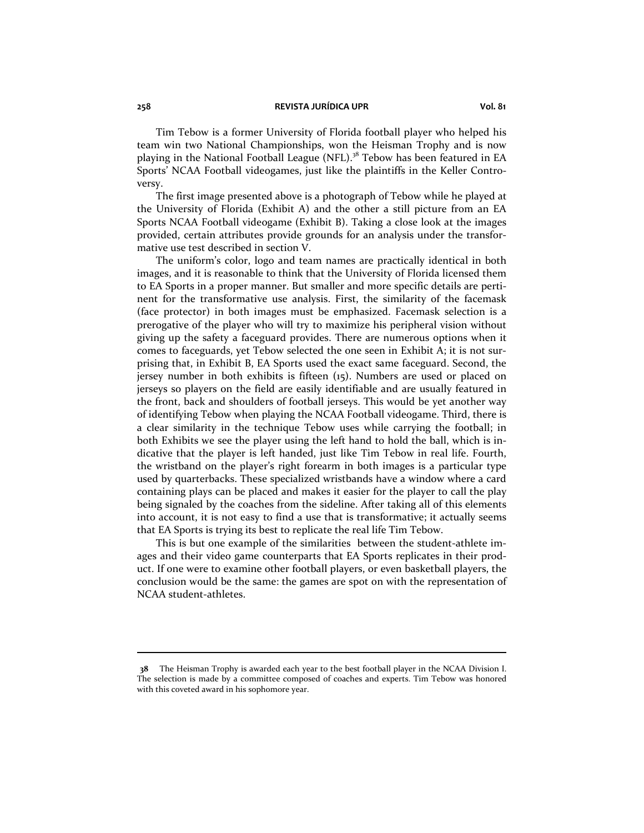#### **258 REVISTA JURÍDICA UPR Vol. 81**

Tim Tebow is a former University of Florida football player who helped his team win two National Championships, won the Heisman Trophy and is now playing in the National Football League (NFL).<sup>38</sup> Tebow has been featured in EA Sports' NCAA Football videogames, just like the plaintiffs in the Keller Controversy.

The first image presented above is a photograph of Tebow while he played at the University of Florida (Exhibit A) and the other a still picture from an EA Sports NCAA Football videogame (Exhibit B). Taking a close look at the images provided, certain attributes provide grounds for an analysis under the transformative use test described in section V.

The uniform's color, logo and team names are practically identical in both images, and it is reasonable to think that the University of Florida licensed them to EA Sports in a proper manner. But smaller and more specific details are pertinent for the transformative use analysis. First, the similarity of the facemask (face protector) in both images must be emphasized. Facemask selection is a prerogative of the player who will try to maximize his peripheral vision without giving up the safety a faceguard provides. There are numerous options when it comes to faceguards, yet Tebow selected the one seen in Exhibit A; it is not surprising that, in Exhibit B, EA Sports used the exact same faceguard. Second, the jersey number in both exhibits is fifteen (15). Numbers are used or placed on jerseys so players on the field are easily identifiable and are usually featured in the front, back and shoulders of football jerseys. This would be yet another way of identifying Tebow when playing the NCAA Football videogame. Third, there is a clear similarity in the technique Tebow uses while carrying the football; in both Exhibits we see the player using the left hand to hold the ball, which is indicative that the player is left handed, just like Tim Tebow in real life. Fourth, the wristband on the player's right forearm in both images is a particular type used by quarterbacks. These specialized wristbands have a window where a card containing plays can be placed and makes it easier for the player to call the play being signaled by the coaches from the sideline. After taking all of this elements into account, it is not easy to find a use that is transformative; it actually seems that EA Sports is trying its best to replicate the real life Tim Tebow.

This is but one example of the similarities between the student-athlete images and their video game counterparts that EA Sports replicates in their product. If one were to examine other football players, or even basketball players, the conclusion would be the same: the games are spot on with the representation of NCAA student-athletes.

 **<sup>38</sup>** The Heisman Trophy is awarded each year to the best football player in the NCAA Division I. The selection is made by a committee composed of coaches and experts. Tim Tebow was honored with this coveted award in his sophomore year.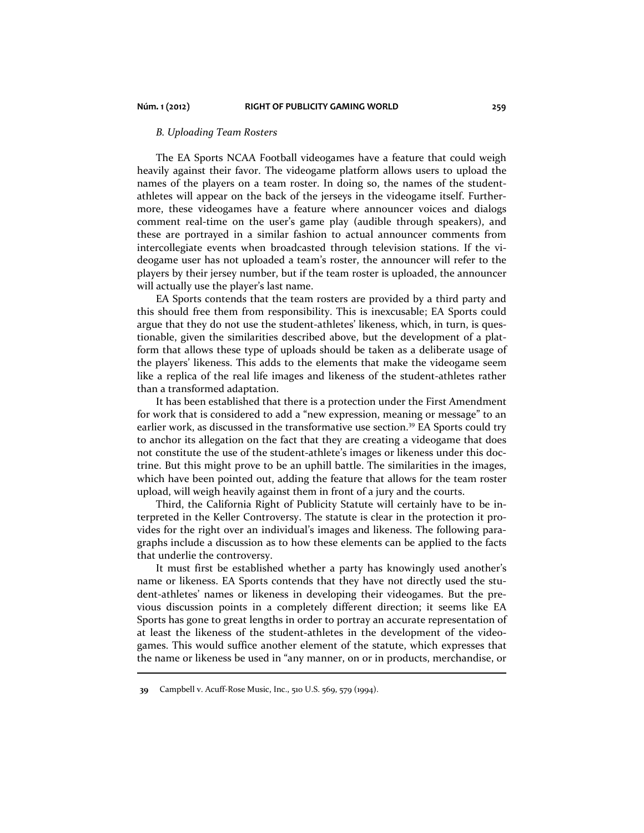# *B. Uploading Team Rosters*

The EA Sports NCAA Football videogames have a feature that could weigh heavily against their favor. The videogame platform allows users to upload the names of the players on a team roster. In doing so, the names of the studentathletes will appear on the back of the jerseys in the videogame itself. Furthermore, these videogames have a feature where announcer voices and dialogs comment real-time on the user's game play (audible through speakers), and these are portrayed in a similar fashion to actual announcer comments from intercollegiate events when broadcasted through television stations. If the videogame user has not uploaded a team's roster, the announcer will refer to the players by their jersey number, but if the team roster is uploaded, the announcer will actually use the player's last name.

EA Sports contends that the team rosters are provided by a third party and this should free them from responsibility. This is inexcusable; EA Sports could argue that they do not use the student-athletes' likeness, which, in turn, is questionable, given the similarities described above, but the development of a platform that allows these type of uploads should be taken as a deliberate usage of the players' likeness. This adds to the elements that make the videogame seem like a replica of the real life images and likeness of the student-athletes rather than a transformed adaptation.

It has been established that there is a protection under the First Amendment for work that is considered to add a "new expression, meaning or message" to an earlier work, as discussed in the transformative use section.<sup>39</sup> EA Sports could try to anchor its allegation on the fact that they are creating a videogame that does not constitute the use of the student-athlete's images or likeness under this doctrine. But this might prove to be an uphill battle. The similarities in the images, which have been pointed out, adding the feature that allows for the team roster upload, will weigh heavily against them in front of a jury and the courts.

Third, the California Right of Publicity Statute will certainly have to be interpreted in the Keller Controversy. The statute is clear in the protection it provides for the right over an individual's images and likeness. The following paragraphs include a discussion as to how these elements can be applied to the facts that underlie the controversy.

It must first be established whether a party has knowingly used another's name or likeness. EA Sports contends that they have not directly used the student-athletes' names or likeness in developing their videogames. But the previous discussion points in a completely different direction; it seems like EA Sports has gone to great lengths in order to portray an accurate representation of at least the likeness of the student-athletes in the development of the videogames. This would suffice another element of the statute, which expresses that the name or likeness be used in "any manner, on or in products, merchandise, or 

 **<sup>39</sup>** Campbell v. Acuff-Rose Music, Inc., 510 U.S. 569, 579 (1994).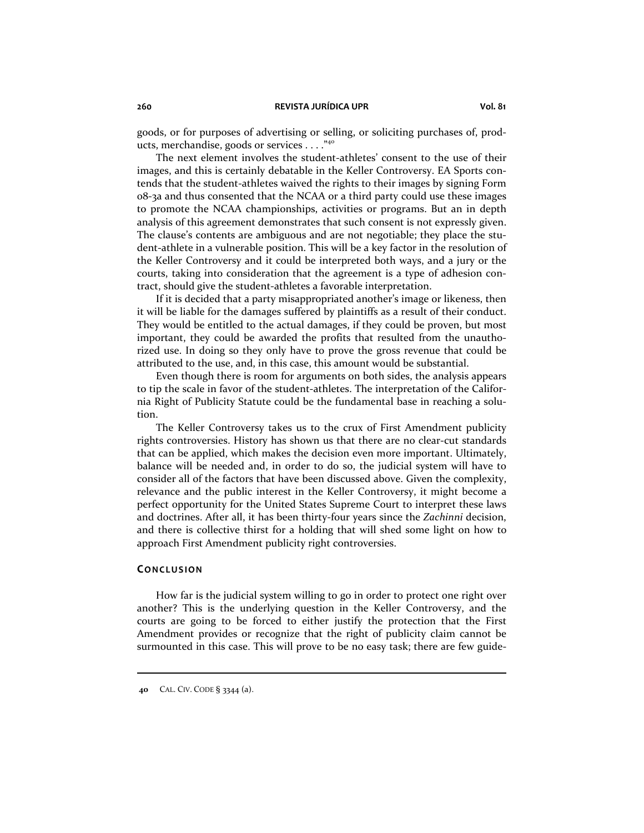goods, or for purposes of advertising or selling, or soliciting purchases of, products, merchandise, goods or services . . . ."<sup>40</sup>

The next element involves the student-athletes' consent to the use of their images, and this is certainly debatable in the Keller Controversy. EA Sports contends that the student-athletes waived the rights to their images by signing Form 08-3a and thus consented that the NCAA or a third party could use these images to promote the NCAA championships, activities or programs. But an in depth analysis of this agreement demonstrates that such consent is not expressly given. The clause's contents are ambiguous and are not negotiable; they place the student-athlete in a vulnerable position. This will be a key factor in the resolution of the Keller Controversy and it could be interpreted both ways, and a jury or the courts, taking into consideration that the agreement is a type of adhesion contract, should give the student-athletes a favorable interpretation.

If it is decided that a party misappropriated another's image or likeness, then it will be liable for the damages suffered by plaintiffs as a result of their conduct. They would be entitled to the actual damages, if they could be proven, but most important, they could be awarded the profits that resulted from the unauthorized use. In doing so they only have to prove the gross revenue that could be attributed to the use, and, in this case, this amount would be substantial.

Even though there is room for arguments on both sides, the analysis appears to tip the scale in favor of the student-athletes. The interpretation of the California Right of Publicity Statute could be the fundamental base in reaching a solution.

The Keller Controversy takes us to the crux of First Amendment publicity rights controversies. History has shown us that there are no clear-cut standards that can be applied, which makes the decision even more important. Ultimately, balance will be needed and, in order to do so, the judicial system will have to consider all of the factors that have been discussed above. Given the complexity, relevance and the public interest in the Keller Controversy, it might become a perfect opportunity for the United States Supreme Court to interpret these laws and doctrines. After all, it has been thirty-four years since the *Zachinni* decision, and there is collective thirst for a holding that will shed some light on how to approach First Amendment publicity right controversies.

# **CONCLUSION**

How far is the judicial system willing to go in order to protect one right over another? This is the underlying question in the Keller Controversy, and the courts are going to be forced to either justify the protection that the First Amendment provides or recognize that the right of publicity claim cannot be surmounted in this case. This will prove to be no easy task; there are few guide-

 **<sup>40</sup>** CAL. CIV. CODE § 3344 (a).